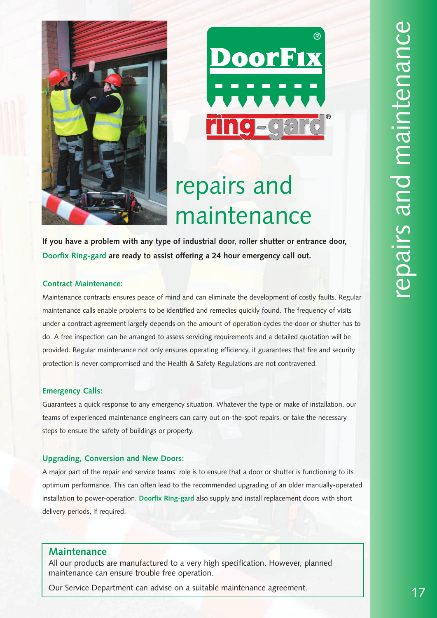



## repairs and maintenance

**If you have a problem with any type of industrial door, roller shutter or entrance door, Doorfix Ring-gard are ready to assist offering a 24 hour emergency call out.**

#### **Contract Maintenance:**

Maintenance contracts ensures peace of mind and can eliminate the development of costly faults. Regular maintenance calls enable problems to be identified and remedies quickly found. The frequency of visits under a contract agreement largely depends on the amount of operation cycles the door or shutter has to do. A free inspection can be arranged to assess servicing requirements and a detailed quotation will be provided. Regular maintenance not only ensures operating efficiency, it guarantees that fire and security protection is never compromised and the Health & Safety Regulations are not contravened.

#### **Emergency Calls:**

Guarantees a quick response to any emergency situation. Whatever the type or make of installation, our teams of experienced maintenance engineers can carry out on-the-spot repairs, or take the necessary steps to ensure the safety of buildings or property.

#### **Upgrading, Conversion and New Doors:**

A major part of the repair and service teams' role is to ensure that a door or shutter is functioning to its optimum performance. This can often lead to the recommended upgrading of an older manually-operated installation to power-operation. **Doorfix Ring-gard** also supply and install replacement doors with short delivery periods, if required.

### **Maintenance**

All our products are manufactured to a very high specification. However, planned maintenance can ensure trouble free operation.

Our Service Department can advise on a suitable maintenance agreement.